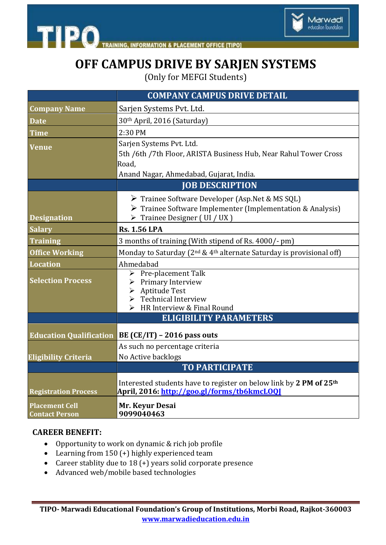



## **OFF CAMPUS DRIVE BY SARJEN SYSTEMS**

(Only for MEFGI Students)

|                                                | <b>COMPANY CAMPUS DRIVE DETAIL</b>                                                                                                                                   |
|------------------------------------------------|----------------------------------------------------------------------------------------------------------------------------------------------------------------------|
| <b>Company Name</b>                            | Sarjen Systems Pvt. Ltd.                                                                                                                                             |
| <b>Date</b>                                    | 30th April, 2016 (Saturday)                                                                                                                                          |
| <b>Time</b>                                    | 2:30 PM                                                                                                                                                              |
| <b>Venue</b>                                   | Sarjen Systems Pvt. Ltd.<br>5th /6th /7th Floor, ARISTA Business Hub, Near Rahul Tower Cross<br>Road,<br>Anand Nagar, Ahmedabad, Gujarat, India.                     |
|                                                | <b>JOB DESCRIPTION</b>                                                                                                                                               |
| <b>Designation</b>                             | > Trainee Software Developer (Asp.Net & MS SQL)<br>> Trainee Software Implementer (Implementation & Analysis)<br>$\triangleright$ Trainee Designer (UI / UX )        |
| <b>Salary</b>                                  | <b>Rs. 1.56 LPA</b>                                                                                                                                                  |
| <b>Training</b>                                | 3 months of training (With stipend of Rs. 4000/- pm)                                                                                                                 |
| <b>Office Working</b>                          | Monday to Saturday (2 <sup>nd</sup> & 4 <sup>th</sup> alternate Saturday is provisional off)                                                                         |
| <b>Location</b>                                | Ahmedabad                                                                                                                                                            |
| <b>Selection Process</b>                       | $\triangleright$ Pre-placement Talk<br>$\triangleright$ Primary Interview<br>> Aptitude Test<br>$\triangleright$ Technical Interview<br>> HR Interview & Final Round |
|                                                | <b>ELIGIBILITY PARAMETERS</b>                                                                                                                                        |
| <b>Education Qualification</b>                 | BE (CE/IT) – 2016 pass outs                                                                                                                                          |
|                                                | As such no percentage criteria                                                                                                                                       |
| <b>Eligibility Criteria</b>                    | No Active backlogs                                                                                                                                                   |
|                                                | <b>TO PARTICIPATE</b>                                                                                                                                                |
| <b>Registration Process</b>                    | Interested students have to register on below link by 2 PM of 25 <sup>th</sup><br>April, 2016: <u>http://goo.gl/forms/tb6kmcLOOI</u>                                 |
| <b>Placement Cell</b><br><b>Contact Person</b> | Mr. Keyur Desai<br>9099040463                                                                                                                                        |

## **CAREER BENEFIT:**

- Opportunity to work on dynamic & rich job profile
- Learning from 150 (+) highly experienced team
- Career stablity due to 18 (+) years solid corporate presence
- Advanced web/mobile based technologies